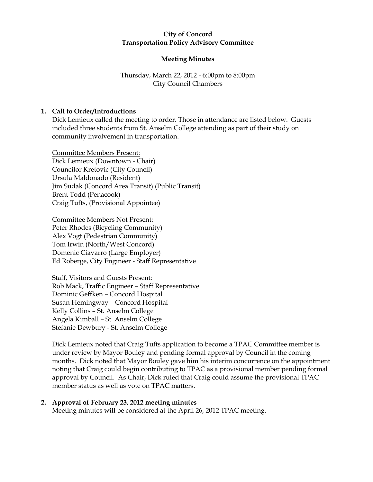### City of Concord Transportation Policy Advisory Committee

# Meeting Minutes

# Thursday, March 22, 2012 - 6:00pm to 8:00pm City Council Chambers

## 1. Call to Order/Introductions

Dick Lemieux called the meeting to order. Those in attendance are listed below. Guests included three students from St. Anselm College attending as part of their study on community involvement in transportation.

Committee Members Present: Dick Lemieux (Downtown - Chair) Councilor Kretovic (City Council) Ursula Maldonado (Resident) Jim Sudak (Concord Area Transit) (Public Transit) Brent Todd (Penacook) Craig Tufts, (Provisional Appointee)

Committee Members Not Present: Peter Rhodes (Bicycling Community) Alex Vogt (Pedestrian Community) Tom Irwin (North/West Concord) Domenic Ciavarro (Large Employer) Ed Roberge, City Engineer - Staff Representative

Staff, Visitors and Guests Present: Rob Mack, Traffic Engineer – Staff Representative Dominic Geffken – Concord Hospital Susan Hemingway – Concord Hospital Kelly Collins – St. Anselm College Angela Kimball – St. Anselm College Stefanie Dewbury - St. Anselm College

Dick Lemieux noted that Craig Tufts application to become a TPAC Committee member is under review by Mayor Bouley and pending formal approval by Council in the coming months. Dick noted that Mayor Bouley gave him his interim concurrence on the appointment noting that Craig could begin contributing to TPAC as a provisional member pending formal approval by Council. As Chair, Dick ruled that Craig could assume the provisional TPAC member status as well as vote on TPAC matters.

2. Approval of February 23, 2012 meeting minutes Meeting minutes will be considered at the April 26, 2012 TPAC meeting.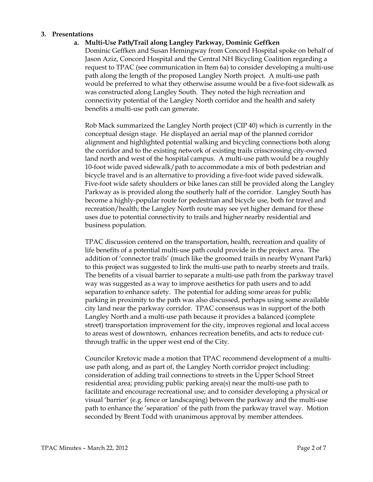#### 3. Presentations

### a. Multi-Use Path/Trail along Langley Parkway, Dominic Geffken

Dominic Geffken and Susan Hemingway from Concord Hospital spoke on behalf of Jason Aziz, Concord Hospital and the Central NH Bicycling Coalition regarding a request to TPAC (see communication in Item 6a) to consider developing a multi-use path along the length of the proposed Langley North project. A multi-use path would be preferred to what they otherwise assume would be a five-foot sidewalk as was constructed along Langley South. They noted the high recreation and connectivity potential of the Langley North corridor and the health and safety benefits a multi-use path can generate.

Rob Mack summarized the Langley North project (CIP 40) which is currently in the conceptual design stage. He displayed an aerial map of the planned corridor alignment and highlighted potential walking and bicycling connections both along the corridor and to the existing network of existing trails crisscrossing city-owned land north and west of the hospital campus. A multi-use path would be a roughly 10-foot wide paved sidewalk/path to accommodate a mix of both pedestrian and bicycle travel and is an alternative to providing a five-foot wide paved sidewalk. Five-foot wide safety shoulders or bike lanes can still be provided along the Langley Parkway as is provided along the southerly half of the corridor. Langley South has become a highly-popular route for pedestrian and bicycle use, both for travel and recreation/health; the Langley North route may see yet higher demand for these uses due to potential connectivity to trails and higher nearby residential and business population.

TPAC discussion centered on the transportation, health, recreation and quality of life benefits of a potential multi-use path could provide in the project area. The addition of 'connector trails' (much like the groomed trails in nearby Wynant Park) to this project was suggested to link the multi-use path to nearby streets and trails. The benefits of a visual barrier to separate a multi-use path from the parkway travel way was suggested as a way to improve aesthetics for path users and to add separation to enhance safety. The potential for adding some areas for public parking in proximity to the path was also discussed, perhaps using some available city land near the parkway corridor. TPAC consensus was in support of the both Langley North and a multi-use path because it provides a balanced (complete street) transportation improvement for the city, improves regional and local access to areas west of downtown, enhances recreation benefits, and acts to reduce cutthrough traffic in the upper west end of the City.

Councilor Kretovic made a motion that TPAC recommend development of a multiuse path along, and as part of, the Langley North corridor project including: consideration of adding trail connections to streets in the Upper School Street residential area; providing public parking area(s) near the multi-use path to facilitate and encourage recreational use; and to consider developing a physical or visual 'barrier' (e.g. fence or landscaping) between the parkway and the multi-use path to enhance the 'separation' of the path from the parkway travel way. Motion seconded by Brent Todd with unanimous approval by member attendees.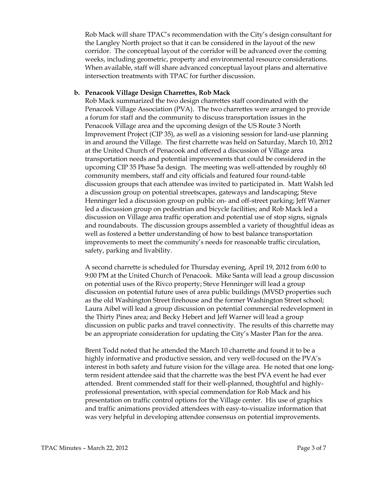Rob Mack will share TPAC's recommendation with the City's design consultant for the Langley North project so that it can be considered in the layout of the new corridor. The conceptual layout of the corridor will be advanced over the coming weeks, including geometric, property and environmental resource considerations. When available, staff will share advanced conceptual layout plans and alternative intersection treatments with TPAC for further discussion.

### b. Penacook Village Design Charrettes, Rob Mack

Rob Mack summarized the two design charrettes staff coordinated with the Penacook Village Association (PVA). The two charrettes were arranged to provide a forum for staff and the community to discuss transportation issues in the Penacook Village area and the upcoming design of the US Route 3 North Improvement Project (CIP 35), as well as a visioning session for land-use planning in and around the Village. The first charrette was held on Saturday, March 10, 2012 at the United Church of Penacook and offered a discussion of Village area transportation needs and potential improvements that could be considered in the upcoming CIP 35 Phase 5a design. The meeting was well-attended by roughly 60 community members, staff and city officials and featured four round-table discussion groups that each attendee was invited to participated in. Matt Walsh led a discussion group on potential streetscapes, gateways and landscaping; Steve Henninger led a discussion group on public on- and off-street parking; Jeff Warner led a discussion group on pedestrian and bicycle facilities; and Rob Mack led a discussion on Village area traffic operation and potential use of stop signs, signals and roundabouts. The discussion groups assembled a variety of thoughtful ideas as well as fostered a better understanding of how to best balance transportation improvements to meet the community's needs for reasonable traffic circulation, safety, parking and livability.

A second charrette is scheduled for Thursday evening, April 19, 2012 from 6:00 to 9:00 PM at the United Church of Penacook. Mike Santa will lead a group discussion on potential uses of the Rivco property; Steve Henninger will lead a group discussion on potential future uses of area public buildings (MVSD properties such as the old Washington Street firehouse and the former Washington Street school; Laura Aibel will lead a group discussion on potential commercial redevelopment in the Thirty Pines area; and Becky Hebert and Jeff Warner will lead a group discussion on public parks and travel connectivity. The results of this charrette may be an appropriate consideration for updating the City's Master Plan for the area.

Brent Todd noted that he attended the March 10 charrette and found it to be a highly informative and productive session, and very well-focused on the PVA's interest in both safety and future vision for the village area. He noted that one longterm resident attendee said that the charrette was the best PVA event he had ever attended. Brent commended staff for their well-planned, thoughtful and highlyprofessional presentation, with special commendation for Rob Mack and his presentation on traffic control options for the Village center. His use of graphics and traffic animations provided attendees with easy-to-visualize information that was very helpful in developing attendee consensus on potential improvements.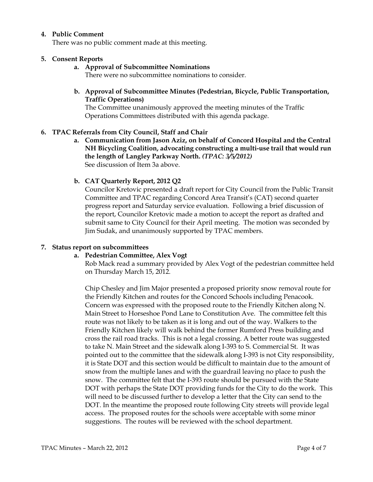### 4. Public Comment

There was no public comment made at this meeting.

### 5. Consent Reports

a. Approval of Subcommittee Nominations

There were no subcommittee nominations to consider.

b. Approval of Subcommittee Minutes (Pedestrian, Bicycle, Public Transportation, Traffic Operations)

The Committee unanimously approved the meeting minutes of the Traffic Operations Committees distributed with this agenda package.

## 6. TPAC Referrals from City Council, Staff and Chair

a. Communication from Jason Aziz, on behalf of Concord Hospital and the Central NH Bicycling Coalition, advocating constructing a multi-use trail that would run the length of Langley Parkway North. (TPAC: 3/5/2012) See discussion of Item 3a above.

## b. CAT Quarterly Report, 2012 Q2

Councilor Kretovic presented a draft report for City Council from the Public Transit Committee and TPAC regarding Concord Area Transit's (CAT) second quarter progress report and Saturday service evaluation. Following a brief discussion of the report, Councilor Kretovic made a motion to accept the report as drafted and submit same to City Council for their April meeting. The motion was seconded by Jim Sudak, and unanimously supported by TPAC members.

#### 7. Status report on subcommittees

## a. Pedestrian Committee, Alex Vogt

Rob Mack read a summary provided by Alex Vogt of the pedestrian committee held on Thursday March 15, 2012.

Chip Chesley and Jim Major presented a proposed priority snow removal route for the Friendly Kitchen and routes for the Concord Schools including Penacook. Concern was expressed with the proposed route to the Friendly Kitchen along N. Main Street to Horseshoe Pond Lane to Constitution Ave. The committee felt this route was not likely to be taken as it is long and out of the way. Walkers to the Friendly Kitchen likely will walk behind the former Rumford Press building and cross the rail road tracks. This is not a legal crossing. A better route was suggested to take N. Main Street and the sidewalk along I-393 to S. Commercial St. It was pointed out to the committee that the sidewalk along I-393 is not City responsibility, it is State DOT and this section would be difficult to maintain due to the amount of snow from the multiple lanes and with the guardrail leaving no place to push the snow. The committee felt that the I-393 route should be pursued with the State DOT with perhaps the State DOT providing funds for the City to do the work. This will need to be discussed further to develop a letter that the City can send to the DOT. In the meantime the proposed route following City streets will provide legal access. The proposed routes for the schools were acceptable with some minor suggestions. The routes will be reviewed with the school department.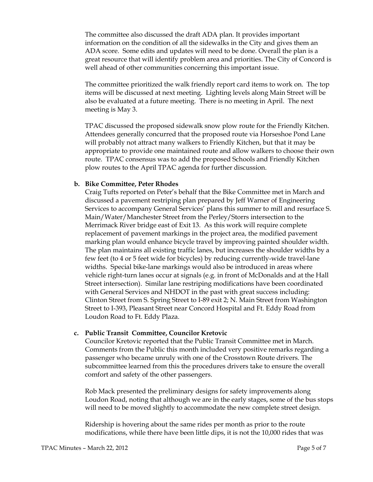The committee also discussed the draft ADA plan. It provides important information on the condition of all the sidewalks in the City and gives them an ADA score. Some edits and updates will need to be done. Overall the plan is a great resource that will identify problem area and priorities. The City of Concord is well ahead of other communities concerning this important issue.

The committee prioritized the walk friendly report card items to work on. The top items will be discussed at next meeting. Lighting levels along Main Street will be also be evaluated at a future meeting. There is no meeting in April. The next meeting is May 3.

TPAC discussed the proposed sidewalk snow plow route for the Friendly Kitchen. Attendees generally concurred that the proposed route via Horseshoe Pond Lane will probably not attract many walkers to Friendly Kitchen, but that it may be appropriate to provide one maintained route and allow walkers to choose their own route. TPAC consensus was to add the proposed Schools and Friendly Kitchen plow routes to the April TPAC agenda for further discussion.

#### b. Bike Committee, Peter Rhodes

Craig Tufts reported on Peter's behalf that the Bike Committee met in March and discussed a pavement restriping plan prepared by Jeff Warner of Engineering Services to accompany General Services' plans this summer to mill and resurface S. Main/Water/Manchester Street from the Perley/Storrs intersection to the Merrimack River bridge east of Exit 13. As this work will require complete replacement of pavement markings in the project area, the modified pavement marking plan would enhance bicycle travel by improving painted shoulder width. The plan maintains all existing traffic lanes, but increases the shoulder widths by a few feet (to 4 or 5 feet wide for bicycles) by reducing currently-wide travel-lane widths. Special bike-lane markings would also be introduced in areas where vehicle right-turn lanes occur at signals (e.g. in front of McDonalds and at the Hall Street intersection). Similar lane restriping modifications have been coordinated with General Services and NHDOT in the past with great success including: Clinton Street from S. Spring Street to I-89 exit 2; N. Main Street from Washington Street to I-393, Pleasant Street near Concord Hospital and Ft. Eddy Road from Loudon Road to Ft. Eddy Plaza.

#### c. Public Transit Committee, Councilor Kretovic

Councilor Kretovic reported that the Public Transit Committee met in March. Comments from the Public this month included very positive remarks regarding a passenger who became unruly with one of the Crosstown Route drivers. The subcommittee learned from this the procedures drivers take to ensure the overall comfort and safety of the other passengers.

Rob Mack presented the preliminary designs for safety improvements along Loudon Road, noting that although we are in the early stages, some of the bus stops will need to be moved slightly to accommodate the new complete street design.

Ridership is hovering about the same rides per month as prior to the route modifications, while there have been little dips, it is not the 10,000 rides that was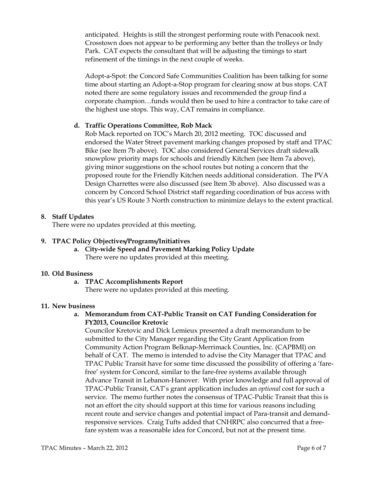anticipated. Heights is still the strongest performing route with Penacook next. Crosstown does not appear to be performing any better than the trolleys or Indy Park. CAT expects the consultant that will be adjusting the timings to start refinement of the timings in the next couple of weeks.

Adopt-a-Spot: the Concord Safe Communities Coalition has been talking for some time about starting an Adopt-a-Stop program for clearing snow at bus stops. CAT noted there are some regulatory issues and recommended the group find a corporate champion…funds would then be used to hire a contractor to take care of the highest use stops. This way, CAT remains in compliance.

## d. Traffic Operations Committee, Rob Mack

Rob Mack reported on TOC's March 20, 2012 meeting. TOC discussed and endorsed the Water Street pavement marking changes proposed by staff and TPAC Bike (see Item 7b above). TOC also considered General Services draft sidewalk snowplow priority maps for schools and friendly Kitchen (see Item 7a above), giving minor suggestions on the school routes but noting a concern that the proposed route for the Friendly Kitchen needs additional consideration. The PVA Design Charrettes were also discussed (see Item 3b above). Also discussed was a concern by Concord School District staff regarding coordination of bus access with this year's US Route 3 North construction to minimize delays to the extent practical.

## 8. Staff Updates

There were no updates provided at this meeting.

## 9. TPAC Policy Objectives/Programs/Initiatives

a. City-wide Speed and Pavement Marking Policy Update There were no updates provided at this meeting.

#### 10. Old Business

a. TPAC Accomplishments Report There were no updates provided at this meeting.

#### 11. New business

# a. Memorandum from CAT-Public Transit on CAT Funding Consideration for FY2013, Councilor Kretovic

Councilor Kretovic and Dick Lemieux presented a draft memorandum to be submitted to the City Manager regarding the City Grant Application from Community Action Program Belknap-Merrimack Counties, Inc. (CAPBMI) on behalf of CAT. The memo is intended to advise the City Manager that TPAC and TPAC Public Transit have for some time discussed the possibility of offering a 'farefree' system for Concord, similar to the fare-free systems available through Advance Transit in Lebanon-Hanover. With prior knowledge and full approval of TPAC-Public Transit, CAT's grant application includes an optional cost for such a service. The memo further notes the consensus of TPAC-Public Transit that this is not an effort the city should support at this time for various reasons including recent route and service changes and potential impact of Para-transit and demandresponsive services. Craig Tufts added that CNHRPC also concurred that a freefare system was a reasonable idea for Concord, but not at the present time.